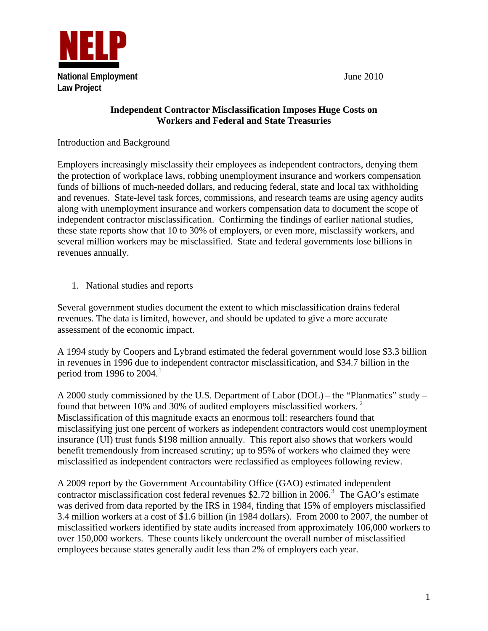

## **Independent Contractor Misclassification Imposes Huge Costs on Workers and Federal and State Treasuries**

## Introduction and Background

Employers increasingly misclassify their employees as independent contractors, denying them the protection of workplace laws, robbing unemployment insurance and workers compensation funds of billions of much-needed dollars, and reducing federal, state and local tax withholding and revenues. State-level task forces, commissions, and research teams are using agency audits along with unemployment insurance and workers compensation data to document the scope of independent contractor misclassification. Confirming the findings of earlier national studies, these state reports show that 10 to 30% of employers, or even more, misclassify workers, and several million workers may be misclassified. State and federal governments lose billions in revenues annually.

## 1. National studies and reports

Several government studies document the extent to which misclassification drains federal revenues. The data is limited, however, and should be updated to give a more accurate assessment of the economic impact.

A 1994 study by Coopers and Lybrand estimated the federal government would lose \$3.3 billion in revenues in 1996 due to independent contractor misclassification, and \$34.7 billion in the period from [1](#page-3-0)996 to 2004.<sup>1</sup>

A 2000 study commissioned by the U.S. Department of Labor (DOL) – the "Planmatics" study – found that between 10% and 30% of audited employers misclassified workers.<sup>[2](#page-3-1)</sup> Misclassification of this magnitude exacts an enormous toll: researchers found that misclassifying just one percent of workers as independent contractors would cost unemployment insurance (UI) trust funds \$198 million annually. This report also shows that workers would benefit tremendously from increased scrutiny; up to 95% of workers who claimed they were misclassified as independent contractors were reclassified as employees following review.

A 2009 report by the Government Accountability Office (GAO) estimated independent contractor misclassification cost federal revenues \$2.72 billion in 2006.<sup>[3](#page-3-2)</sup> The GAO's estimate was derived from data reported by the IRS in 1984, finding that 15% of employers misclassified 3.4 million workers at a cost of \$1.6 billion (in 1984 dollars). From 2000 to 2007, the number of misclassified workers identified by state audits increased from approximately 106,000 workers to over 150,000 workers. These counts likely undercount the overall number of misclassified employees because states generally audit less than 2% of employers each year.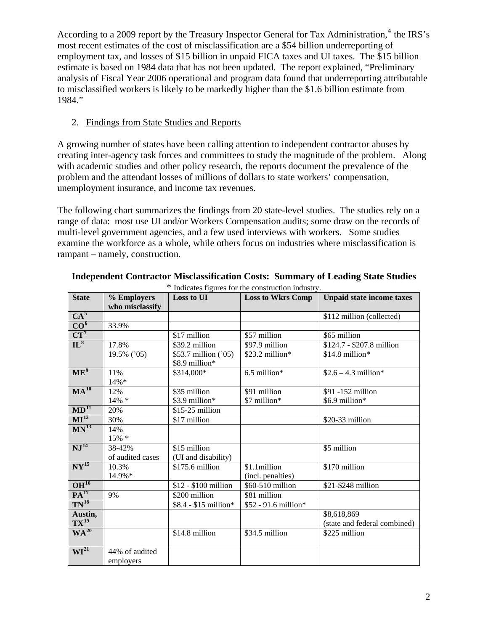According to a 2009 report by the Treasury Inspector General for Tax Administration,<sup>[4](#page-3-3)</sup> the IRS's most recent estimates of the cost of misclassification are a \$54 billion underreporting of employment tax, and losses of \$15 billion in unpaid FICA taxes and UI taxes. The \$15 billion estimate is based on 1984 data that has not been updated. The report explained, "Preliminary analysis of Fiscal Year 2006 operational and program data found that underreporting attributable to misclassified workers is likely to be markedly higher than the \$1.6 billion estimate from 1984."

## 2. Findings from State Studies and Reports

A growing number of states have been calling attention to independent contractor abuses by creating inter-agency task forces and committees to study the magnitude of the problem. Along with academic studies and other policy research, the reports document the prevalence of the problem and the attendant losses of millions of dollars to state workers' compensation, unemployment insurance, and income tax revenues.

The following chart summarizes the findings from 20 state-level studies. The studies rely on a range of data: most use UI and/or Workers Compensation audits; some draw on the records of multi-level government agencies, and a few used interviews with workers. Some studies examine the workforce as a whole, while others focus on industries where misclassification is rampant – namely, construction.

| <b>State</b>                       | % Employers      | Loss to UI            | marcates rigares for the construction matistry.<br><b>Loss to Wkrs Comp</b> | <b>Unpaid state income taxes</b> |
|------------------------------------|------------------|-----------------------|-----------------------------------------------------------------------------|----------------------------------|
|                                    | who misclassify  |                       |                                                                             |                                  |
| $CA^5$                             |                  |                       |                                                                             | \$112 million (collected)        |
| CO <sup>6</sup>                    | 33.9%            |                       |                                                                             |                                  |
| $CT^7$                             |                  | \$17 million          | \$57 million                                                                | \$65 million                     |
| $\overline{\mathbf{L}^8}$          | 17.8%            | \$39.2 million        | \$97.9 million                                                              | \$124.7 - \$207.8 million        |
|                                    | 19.5% ('05)      | \$53.7 million ('05)  | $$23.2$ million*                                                            | $$14.8$ million*                 |
|                                    |                  | \$8.9 million*        |                                                                             |                                  |
| ME <sup>9</sup>                    | 11%              | \$314,000*            | $6.5$ million*                                                              | $$2.6 - 4.3$ million*            |
|                                    | 14%*             |                       |                                                                             |                                  |
| $MA^{10}$                          | 12%              | \$35 million          | \$91 million                                                                | \$91 -152 million                |
|                                    | $14\% *$         | \$3.9 million*        | \$7 million*                                                                | \$6.9 million*                   |
| $MD^{11}$                          | 20%              | $$15-25$ million      |                                                                             |                                  |
| $\overline{\text{MI}^{12}}$        | 30%              | \$17 million          |                                                                             | \$20-33 million                  |
| $MN^{13}$                          | 14%              |                       |                                                                             |                                  |
|                                    | 15% *            |                       |                                                                             |                                  |
| $\overline{\mathrm{NJ}^{14}}$      | 38-42%           | \$15 million          |                                                                             | \$5 million                      |
|                                    | of audited cases | (UI and disability)   |                                                                             |                                  |
| $\overline{\text{NY}^{15}}$        | 10.3%            | \$175.6 million       | \$1.1million                                                                | \$170 million                    |
|                                    | 14.9%*           |                       | (incl. penalties)                                                           |                                  |
| OH <sup>16</sup>                   |                  | \$12 - \$100 million  | \$60-510 million                                                            | \$21-\$248 million               |
| $PA^{17}$                          | 9%               | \$200 million         | \$81 million                                                                |                                  |
| $TN^{18}$                          |                  | \$8.4 - \$15 million* | \$52 - 91.6 million*                                                        |                                  |
| Austin,                            |                  |                       |                                                                             | \$8,618,869                      |
| $TX^{19}$                          |                  |                       |                                                                             | (state and federal combined)     |
| WA <sup>20</sup>                   |                  | \$14.8 million        | \$34.5 million                                                              | \$225 million                    |
|                                    |                  |                       |                                                                             |                                  |
| $\overline{\text{WI}^{\text{21}}}$ | 44% of audited   |                       |                                                                             |                                  |
|                                    | employers        |                       |                                                                             |                                  |

**Independent Contractor Misclassification Costs: Summary of Leading State Studies**  \* Indicates figures for the construction industry.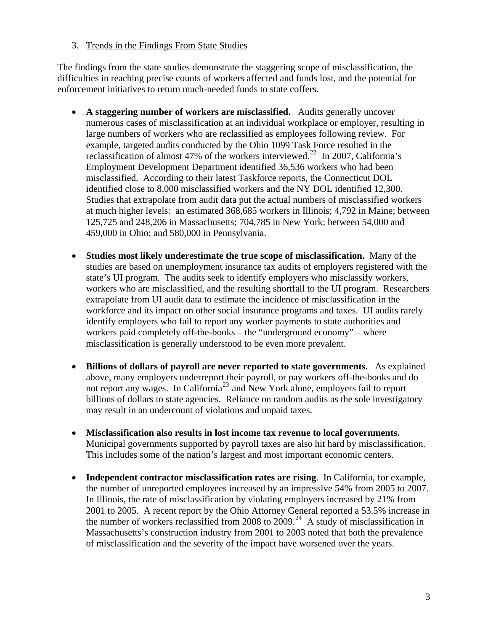3. Trends in the Findings From State Studies

The findings from the state studies demonstrate the staggering scope of misclassification, the difficulties in reaching precise counts of workers affected and funds lost, and the potential for enforcement initiatives to return much-needed funds to state coffers.

- **A staggering number of workers are misclassified.** Audits generally uncover numerous cases of misclassification at an individual workplace or employer, resulting in large numbers of workers who are reclassified as employees following review. For example, targeted audits conducted by the Ohio 1099 Task Force resulted in the reclassification of almost 47% of the workers interviewed.<sup>[22](#page-6-1)</sup> In 2007, California's Employment Development Department identified 36,536 workers who had been misclassified. According to their latest Taskforce reports, the Connecticut DOL identified close to 8,000 misclassified workers and the NY DOL identified 12,300. Studies that extrapolate from audit data put the actual numbers of misclassified workers at much higher levels: an estimated 368,685 workers in Illinois; 4,792 in Maine; between 125,725 and 248,206 in Massachusetts; 704,785 in New York; between 54,000 and 459,000 in Ohio; and 580,000 in Pennsylvania.
- **Studies most likely underestimate the true scope of misclassification.** Many of the studies are based on unemployment insurance tax audits of employers registered with the state's UI program. The audits seek to identify employers who misclassify workers, workers who are misclassified, and the resulting shortfall to the UI program. Researchers extrapolate from UI audit data to estimate the incidence of misclassification in the workforce and its impact on other social insurance programs and taxes. UI audits rarely identify employers who fail to report any worker payments to state authorities and workers paid completely off-the-books – the "underground economy" – where misclassification is generally understood to be even more prevalent.
- **Billions of dollars of payroll are never reported to state governments.** As explained above, many employers underreport their payroll, or pay workers off-the-books and do not report any wages. In California<sup>[23](#page-6-2)</sup> and New York alone, employers fail to report billions of dollars to state agencies. Reliance on random audits as the sole investigatory may result in an undercount of violations and unpaid taxes.
- **Misclassification also results in lost income tax revenue to local governments.**  Municipal governments supported by payroll taxes are also hit hard by misclassification. This includes some of the nation's largest and most important economic centers.
- **Independent contractor misclassification rates are rising**. In California, for example, the number of unreported employees increased by an impressive 54% from 2005 to 2007. In Illinois, the rate of misclassification by violating employers increased by 21% from 2001 to 2005. A recent report by the Ohio Attorney General reported a 53.5% increase in the number of workers reclassified from 2008 to 2009.<sup>[24](#page-6-3)</sup> A study of misclassification in Massachusetts's construction industry from 2001 to 2003 noted that both the prevalence of misclassification and the severity of the impact have worsened over the years.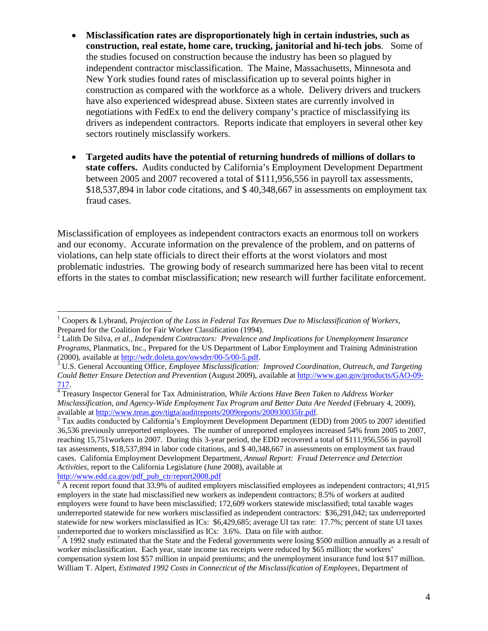- **Misclassification rates are disproportionately high in certain industries, such as construction, real estate, home care, trucking, janitorial and hi-tech jobs**. Some of the studies focused on construction because the industry has been so plagued by independent contractor misclassification. The Maine, Massachusetts, Minnesota and New York studies found rates of misclassification up to several points higher in construction as compared with the workforce as a whole. Delivery drivers and truckers have also experienced widespread abuse. Sixteen states are currently involved in negotiations with FedEx to end the delivery company's practice of misclassifying its drivers as independent contractors. Reports indicate that employers in several other key sectors routinely misclassify workers.
- **Targeted audits have the potential of returning hundreds of millions of dollars to state coffers.** Audits conducted by California's Employment Development Department between 2005 and 2007 recovered a total of \$111,956,556 in payroll tax assessments, \$18,537,894 in labor code citations, and \$ 40,348,667 in assessments on employment tax fraud cases.

Misclassification of employees as independent contractors exacts an enormous toll on workers and our economy. Accurate information on the prevalence of the problem, and on patterns of violations, can help state officials to direct their efforts at the worst violators and most problematic industries. The growing body of research summarized here has been vital to recent efforts in the states to combat misclassification; new research will further facilitate enforcement.

[http://www.edd.ca.gov/pdf\\_pub\\_ctr/report2008.pdf](http://www.edd.ca.gov/pdf_pub_ctr/report2008.pdf) [6](http://www.edd.ca.gov/pdf_pub_ctr/report2008.pdf)

 $\overline{a}$ 

<span id="page-3-0"></span><sup>&</sup>lt;sup>1</sup> Coopers & Lybrand, *Projection of the Loss in Federal Tax Revenues Due to Misclassification of Workers,* Prepared for the Coalition for Fair Worker Classification (1994).

<span id="page-3-1"></span>Lalith De Silva, *et al., Independent Contractors: Prevalence and Implications for Unemployment Insurance Programs,* Planmatics, Inc., Prepared for the US Department of Labor Employment and Training Administration  $(2000)$ , available at <http://wdr.doleta.gov/owsdrr/00-5/00-5.pdf>.

<span id="page-3-2"></span><sup>&</sup>lt;sup>3</sup> U.S. General Accounting Office, *Employee Misclassification: Improved Coordination, Outreach, and Targeting Could Better Ensure Detection and Prevention* (August 2009), available at [http://www.gao.gov/products/GAO-09-](http://www.gao.gov/products/GAO-09-717) [717](http://www.gao.gov/products/GAO-09-717). [4](http://www.gao.gov/products/GAO-09-717)

<span id="page-3-3"></span>Treasury Inspector General for Tax Administration, *While Actions Have Been Taken to Address Worker Misclassification, and Agency-Wide Employment Tax Program and Better Data Are Needed* (February 4, 2009), available at [http://www.treas.gov/tigta/auditreports/2009reports/200930035fr.pdf.](http://www.treas.gov/tigta/auditreports/2009reports/200930035fr.pdf) 5

<span id="page-3-4"></span> $5$  Tax audits conducted by California's Employment Development Department (EDD) from 2005 to 2007 identified 36,536 previously unreported employees. The number of unreported employees increased 54% from 2005 to 2007, reaching 15,751workers in 2007. During this 3-year period, the EDD recovered a total of \$111,956,556 in payroll tax assessments, \$18,537,894 in labor code citations, and \$ 40,348,667 in assessments on employment tax fraud cases. California Employment Development Department, *Annual Report: Fraud Deterrence and Detection Activities*, report to the California Legislature (June 2008), available at

<span id="page-3-5"></span> $6$  A recent report found that 33.9% of audited employers misclassified employees as independent contractors; 41,915 employers in the state had misclassified new workers as independent contractors; 8.5% of workers at audited employers were found to have been misclassified; 172,609 workers statewide misclassified; total taxable wages underreported statewide for new workers misclassified as independent contractors: \$36,291,042; tax underreported statewide for new workers misclassified as ICs: \$6,429,685; average UI tax rate: 17.7%; percent of state UI taxes underreported due to workers misclassified as ICs: 3.6%. Data on file with author.

<span id="page-3-6"></span> $^7$  A 1992 study estimated that the State and the Federal governments were losing \$500 million annually as a result of worker misclassification. Each year, state income tax receipts were reduced by \$65 million; the workers' compensation system lost \$57 million in unpaid premiums; and the unemployment insurance fund lost \$17 million. William T. Alpert*, Estimated 1992 Costs in Connecticut of the Misclassification of Employees*, Department of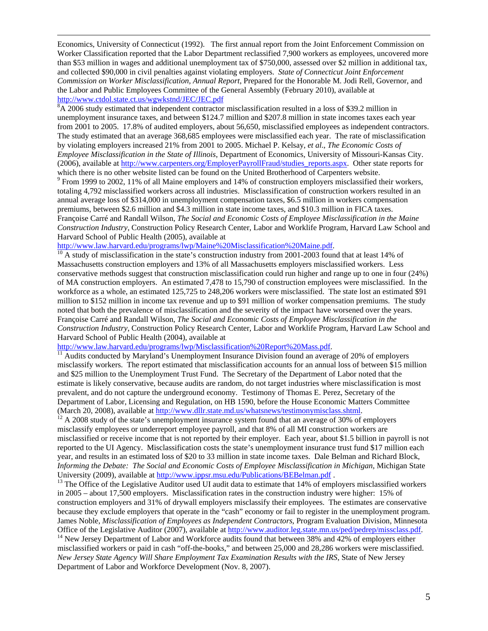Economics, University of Connecticut (1992). The first annual report from the Joint Enforcement Commission on Worker Classification reported that the Labor Department reclassified 7,900 workers as employees, uncovered more than \$53 million in wages and additional unemployment tax of \$750,000, assessed over \$2 million in additional tax, and collected \$90,000 in civil penalties against violating employers. *State of Connecticut Joint Enforcement Commission on Worker Misclassification, Annual Report*, Prepared for the Honorable M. Jodi Rell, Governor, and the Labor and Public Employees Committee of the General Assembly (February 2010), available at [http://www.ctdol.state.ct.us/wgwkstnd/JEC/JEC.pdf 8](http://www.ctdol.state.ct.us/wgwkstnd/JEC/JEC.pdf)

<span id="page-4-0"></span> ${}^{8}A$  2006 study estimated that independent contractor misclassification resulted in a loss of \$39.2 million in unemployment insurance taxes, and between \$124.7 million and \$207.8 million in state incomes taxes each year from 2001 to 2005. 17.8% of audited employers, about 56,650, misclassified employees as independent contractors. The study estimated that an average 368,685 employees were misclassified each year. The rate of misclassification by violating employers increased 21% from 2001 to 2005. Michael P. Kelsay, *et al*., *The Economic Costs of Employee Misclassification in the State of Illinois*, Department of Economics, University of Missouri-Kansas City. (2006), available at [http://www.carpenters.org/EmployerPayrollFraud/studies\\_reports.aspx.](http://www.carpenters.org/EmployerPayrollFraud/studies_reports.aspx) Other state reports for which there is no other website listed can be found on the United Brotherhood of Carpenters website.

<span id="page-4-1"></span><sup>9</sup> From 1999 to 2002, 11% of all Maine employers and 14% of construction employers misclassified their workers, totaling 4,792 misclassified workers across all industries. Misclassification of construction workers resulted in an annual average loss of \$314,000 in unemployment compensation taxes, \$6.5 million in workers compensation premiums, between \$2.6 million and \$4.3 million in state income taxes, and \$10.3 million in FICA taxes. Françoise Carré and Randall Wilson, *The Social and Economic Costs of Employee Misclassification in the Maine Construction Industry*, Construction Policy Research Center, Labor and Worklife Program, Harvard Law School and Harvard School of Public Health (2005), available at http://www.law.harvard.edu/programs/lwp/Maine%20Misclassification%20Maine.pdf.

<span id="page-4-2"></span> $\frac{10}{10}$  $\frac{10}{10}$  $\frac{10}{10}$  A study of misclassification in the state's construction industry from 2001-2003 found that at least 14% of Massachusetts construction employers and 13% of all Massachusetts employers misclassified workers. Less conservative methods suggest that construction misclassification could run higher and range up to one in four (24%) of MA construction employers. An estimated 7,478 to 15,790 of construction employees were misclassified. In the workforce as a whole, an estimated 125,725 to 248,206 workers were misclassified. The state lost an estimated \$91 million to \$152 million in income tax revenue and up to \$91 million of worker compensation premiums. The study noted that both the prevalence of misclassification and the severity of the impact have worsened over the years. Françoise Carré and Randall Wilson, *The Social and Economic Costs of Employee Misclassification in the Construction Industry*, Construction Policy Research Center, Labor and Worklife Program, Harvard Law School and Harvard School of Public Health (2004), available at

<span id="page-4-3"></span> $\frac{http://www.law.harvard.edu/programs/lwp/Misclassification%20Report%20Mass.pdf}{11}$  $\frac{http://www.law.harvard.edu/programs/lwp/Misclassification%20Report%20Mass.pdf}{11}$  $\frac{http://www.law.harvard.edu/programs/lwp/Misclassification%20Report%20Mass.pdf}{11}$ <br> $\frac{http://www.law.harvard.edu/programs/lwp/Misclassification%20Report%20Mass.pdf}{11}$ <br>Audits conducted by Maryland's Unemployment Insurance Division found an average of 20% of employers misclassify workers. The report estimated that misclassification accounts for an annual loss of between \$15 million and \$25 million to the Unemployment Trust Fund. The Secretary of the Department of Labor noted that the estimate is likely conservative, because audits are random, do not target industries where misclassification is most prevalent, and do not capture the underground economy. Testimony of Thomas E. Perez, Secretary of the Department of Labor, Licensing and Regulation, on HB 1590, before the House Economic Matters Committee (March 20, 2008), available at http://www.dllr.state.md.us/whatsnews/testimonymisclass.shtml.

<span id="page-4-4"></span> $\frac{12}{12}$  A 2008 study of the state's unemployment insurance system found that an average of 30% of employers misclassify employees or underreport employee payroll, and that 8% of all MI construction workers are misclassified or receive income that is not reported by their employer. Each year, about \$1.5 billion in payroll is not reported to the UI Agency. Misclassification costs the state's unemployment insurance trust fund \$17 million each year, and results in an estimated loss of \$20 to 33 million in state income taxes. Dale Belman and Richard Block, *Informing the Debate: The Social and Economic Costs of Employee Misclassification in Michigan*, Michigan State University (2009), available at http://www.ippsr.msu.edu/Publications/BEBelman.pdf.

<span id="page-4-5"></span> $13$  The Office of the Legislativ[e Auditor used UI audit data to estimate that 14% of em](http://www.ippsr.msu.edu/Publications/BEBelman.pdf)ployers misclassified workers in 2005 – about 17,500 employers. Misclassification rates in the construction industry were higher: 15% of construction employers and 31% of drywall employers misclassify their employees. The estimates are conservative because they exclude employers that operate in the "cash" economy or fail to register in the unemployment program. James Noble, *Misclassification of Employees as Independent Contractors*, Program Evaluation Division, Minnesota Office of the Legislative Auditor (2007), available at<http://www.auditor.leg.state.mn.us/ped/pedrep/missclass.pdf>. <sup>14</sup> New Jersey Department of Labor and Workforce audits found that between 38% and 42% of employers eithe

<span id="page-4-6"></span>misclassified workers or paid in cash "off-the-books," and between 25,000 and 28,286 workers were misclassified. *New Jersey State Agency Will Share Employment Tax Examination Results with the IRS*, State of New Jersey Department of Labor and Workforce Development (Nov. 8, 2007).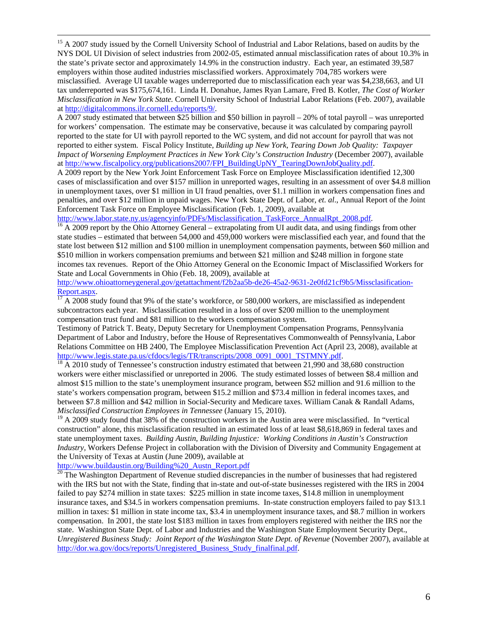<span id="page-5-0"></span><sup>15</sup> A 2007 study issued by the Cornell University School of Industrial and Labor Relations, based on audits by the NYS DOL UI Division of select industries from 2002-05, estimated annual misclassification rates of about 10.3% in the state's private sector and approximately 14.9% in the construction industry. Each year, an estimated 39,587 employers within those audited industries misclassified workers. Approximately 704,785 workers were misclassified. Average UI taxable wages underreported due to misclassification each year was \$4,238,663, and UI tax underreported was \$175,674,161. Linda H. Donahue, James Ryan Lamare, Fred B. Kotler, *The Cost of Worker Misclassification in New York State.* Cornell University School of Industrial Labor Relations (Feb. 2007), available at [http://digitalcommons.ilr.cornell.edu/reports/9/.](http://digitalcommons.ilr.cornell.edu/reports/9/)

A 2007 study estimated that between \$25 billion and \$50 billion in payroll – 20% of total payroll – was unreported for workers' compensation. The estimate may be conservative, because it was calculated by comparing payroll reported to the state for UI with payroll reported to the WC system, and did not account for payroll that was not reported to either system. Fiscal Policy Institute, *Building up New York, Tearing Down Job Quality: Taxpayer Impact of Worsening Employment Practices in New York City's Construction Industry* (December 2007), available at [http://www.fiscalpolicy.org/publications2007/FPI\\_BuildingUpNY\\_TearingDownJobQuality.pdf](http://www.fiscalpolicy.org/publications2007/FPI_BuildingUpNY_TearingDownJobQuality.pdf).

A 2009 report by the New York Joint Enforcement Task Force on Employee Misclassification identified 12,300 cases of misclassification and over \$157 million in unreported wages, resulting in an assessment of over \$4.8 million in unemployment taxes, over \$1 million in UI fraud penalties, over \$1.1 million in workers compensation fines and penalties, and over \$12 million in unpaid wages. New York State Dept. of Labor, *et. al*., Annual Report of the Joint Enforcement Task Force on Employee Misclassification (Feb. 1, 2009), available at http://www.labor.state.ny.us/agencyinfo/PDFs/Misclassification TaskForce AnnualRpt 2008.pdf.

<span id="page-5-1"></span> $\frac{16}{16}$  A 2009 report by the Ohio Attorney General – extrapolating from UI audit data, and using findings from other state studies – estimated that between 54,000 and 459,000 workers were misclassified each year, and found that the state lost between \$12 million and \$100 million in unemployment compensation payments, between \$60 million and \$510 million in workers compensation premiums and between \$21 million and \$248 million in forgone state incomes tax revenues. Report of the Ohio Attorney General on the Economic Impact of Misclassified Workers for State and Local Governments in Ohio (Feb. 18, 2009), available at

http://www.ohioattorneygeneral.gov/getattachment/f2b2aa5b-de26-45a2-9631-2e0fd21cf9b5/Missclasification-<br>Report.aspx.<br> $\frac{17}{17}$  A 2008 study found that 9% of the state's workforce on 580,000

<span id="page-5-2"></span>A 2008 study found that 9% of the state's workforce, or 580,000 workers, are misclassified as independent subcontractors each year. Misclassification resulted in a loss of over \$200 million to the unemployment compensation trust fund and \$81 million to the workers compensation system.

Testimony of Patrick T. Beaty, Deputy Secretary for Unemployment Compensation Programs, Pennsylvania Department of Labor and Industry, before the House of Representatives Commonwealth of Pennsylvania, Labor Relations Committee on HB 2400, The Employee Misclassification Prevention Act (April 23, 2008), available at [http://www.legis.state.pa.us/cfdocs/legis/TR/transcripts/2008\\_0091\\_0001\\_TSTMNY.pdf](http://www.legis.state.pa.us/cfdocs/legis/TR/transcripts/2008_0091_0001_TSTMNY.pdf). <sup>[18](http://www.legis.state.pa.us/cfdocs/legis/TR/transcripts/2008_0091_0001_TSTMNY.pdf)</sup> A 2010 study of Tennessee's construction industry estimated that between 21,990 and 38,680 construction

<span id="page-5-3"></span>workers were either misclassified or unreported in 2006. The study estimated losses of between \$8.4 million and almost \$15 million to the state's unemployment insurance program, between \$52 million and 91.6 million to the state's workers compensation program, between \$15.2 million and \$73.4 million in federal incomes taxes, and between \$7.8 million and \$42 million in Social-Security and Medicare taxes. William Canak & Randall Adams, *Misclassified Construction Employees in Tennessee* (January 15, 2010).

<span id="page-5-4"></span> $19$  A 2009 study found that 38% of the construction workers in the Austin area were misclassified. In "vertical construction" alone, this misclassification resulted in an estimated loss of at least \$8,618,869 in federal taxes and state unemployment taxes. *Building Austin, Building Injustice: Working Conditions in Austin's Construction Industry,* Workers Defense Project in collaboration with the Division of Diversity and Community Engagement at the University of Texas at Austin (June 2009), available at

<span id="page-5-5"></span> $\frac{http://www.buidaustin.org/Buiding%20-Austn Report.pdf}{20}$  $\frac{http://www.buidaustin.org/Buiding%20-Austn Report.pdf}{20}$  $\frac{http://www.buidaustin.org/Buiding%20-Austn Report.pdf}{20}$  The Washington Department of Revenue studied discrepancies in the number of businesses that had registered with the IRS but not with the State, finding that in-state and out-of-state businesses registered with the IRS in 2004 failed to pay \$274 million in state taxes: \$225 million in state income taxes, \$14.8 million in unemployment insurance taxes, and \$34.5 in workers compensation premiums. In-state construction employers failed to pay \$13.1 million in taxes: \$1 million in state income tax, \$3.4 in unemployment insurance taxes, and \$8.7 million in workers compensation. In 2001, the state lost \$183 million in taxes from employers registered with neither the IRS nor the state. Washington State Dept. of Labor and Industries and the Washington State Employment Security Dept., *Unregistered Business Study: Joint Report of the Washington State Dept. of Revenue* (November 2007), available at [http://dor.wa.gov/docs/reports/Unregistered\\_Business\\_Study\\_finalfinal.pdf](http://dor.wa.gov/docs/reports/Unregistered_Business_Study_finalfinal.pdf).